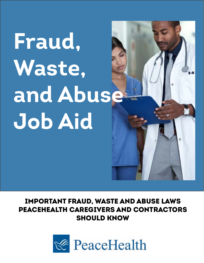# **Fraud, Waste, and Abuse Job Aid**

## IMPORTANT FRAUD, WASTE AND ABUSE LAWS PEACEHEALTH CAREGIVERS AND CONTRACTORS SHOULD KNOW

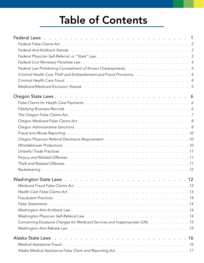## **Table of Contents**

| Criminal Health Care Theft and Embezzlement and Fraud Provisions,  4          |
|-------------------------------------------------------------------------------|
|                                                                               |
|                                                                               |
|                                                                               |
|                                                                               |
|                                                                               |
|                                                                               |
|                                                                               |
|                                                                               |
|                                                                               |
|                                                                               |
|                                                                               |
|                                                                               |
|                                                                               |
|                                                                               |
|                                                                               |
|                                                                               |
|                                                                               |
|                                                                               |
|                                                                               |
|                                                                               |
|                                                                               |
|                                                                               |
|                                                                               |
| Concerning Excessive Charges for Medicaid Services and Inappropriate Gifts 15 |
|                                                                               |
| Alaska State Laws                                                             |
|                                                                               |
| Alaska Medical Assistance False Claim and Reporting Act.<br>17                |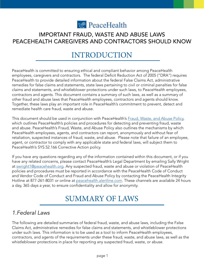

#### <span id="page-2-0"></span>IMPORTANT FRAUD, WASTE AND ABUSE LAWS PEACEHEALTH CAREGIVERS AND CONTRACTORS SHOULD KNOW

## INTRODUCTION

PeaceHealth is committed to ensuring ethical and compliant behavior among PeaceHealth employees, caregivers and contractors. The federal Deficit Reduction Act of 2005 ("DRA") requires PeaceHealth to provide detailed information about the federal False Claims Act, administrative remedies for false claims and statements, state laws pertaining to civil or criminal penalties for false claims and statements, and whistleblower protections under such laws, to PeaceHealth employees, contractors and agents. This document contains a summary of such laws, as well as a summary of other fraud and abuse laws that PeaceHealth employees, contractors and agents should know. Together, these laws play an important role in PeaceHealth's commitment to prevent, detect and remediate health care fraud, waste and abuse.

This document should be used in conjunction with PeaceHealth's [Fraud, Waste, and Abuse Policy](https://peacehealth-system-services.policystat.com/policy/9029475/latest/), which outlines PeaceHealth's policies and procedures for detecting and preventing fraud, waste and abuse. PeaceHealth's Fraud, Waste, and Abuse Policy also outlines the mechanisms by which PeaceHealth employees, agents, and contractors can report, anonymously and without fear of retaliation, suspected instances of fraud, waste, and abuse. Please note that failure of an employee, agent, or contractor to comply with any applicable state and federal laws, will subject them to PeaceHealth's SYS.52.166 Corrective Action policy.

If you have any questions regarding any of the information contained within this document, or if you have any related concerns, please contact PeaceHealth's Legal Department by emailing Sally Wright at [swright1@peacehealth.org.](mailto:swright1%40peacehealth.org?subject=) Any suspected fraud, waste and abuse or violation of PeaceHealth policies and procedures must be reported in accordance with the PeaceHealth Code of Conduct and Vendor Code of Conduct and Fraud and Abuse Policy by contacting the PeaceHealth Integrity Hotline at 877-261-8031 or online at [peacehealth.alertline.com.](http://peacehealth.alertline.com) These channels are available 24 hours a day, 365 days a year, to ensure confidentiality and allow for anonymity.

## SUMMARY OF LAWS

#### *1.Federal Laws*

The following are detailed summaries of federal fraud, waste, and abuse laws, including the False Claims Act, administrative remedies for false claims and statements, and whistleblower protections under such laws. This information is to be used as a tool to inform PeaceHealth employees, contractors, and agents of the requirements under these fraud, waste, and abuse laws, as well as the whistleblower protections in place for reporting any suspected fraud, waste, or abuse.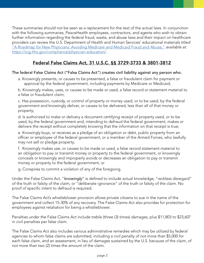<span id="page-3-0"></span>These summaries should not be seen as a replacement for the text of the actual laws. In conjunction with the following summaries, PeaceHealth employees, contractors, and agents who wish to obtain further information regarding the federal fraud, waste, and abuse laws and their impact on healthcare providers can review the U.S. Department of Health and Human Services' educational materials titled ["A Roadmap for New Physicians: Avoiding Medicare and Medicaid Fraud and Abuse,"](https://oig.hhs.gov/compliance/physician-education/.) *available at:*  <https://oig.hhs.gov/compliance/physician-education/>.

#### Federal False Claims Act, 31 U.S.C. §§ 3729-3733 & 3801-3812

#### The federal False Claims Act ("False Claims Act") creates civil liability against any person who:

a. Knowingly presents, or causes to be presented, a false or fraudulent claim for payment or approval by the federal government, including payments by Medicare or Medicaid;

b. Knowingly makes, uses, or causes to be made or used, a false record or statement material to a false or fraudulent claim;

c. Has possession, custody, or control of property or money used, or to be used, by the federal government and knowingly deliver, or causes to be delivered, less than all of that money or property;

d. Is authorized to make or delivery a document certifying receipt of property used, or to be used, by the federal government and, intending to defraud the federal government, makes or delivers the receipt without completely knowing that the information on that receipt is true;

e. Knowingly buys, or receives as a pledge of an obligation or debt, public property from an officer or employee of the federal government, or a member of the Armed Forces, who lawfully may not sell or pledge property;

f. Knowingly makes use, or causes to be made or used, a false record statement material to an obligation to pay or transmit money or property to the federal government, or knowingly conceals or knowingly and improperly avoids or decreases an obligation to pay or transmit money or property to the federal government; or

g. Conspires to commit a violation of any of the foregoing.

Under the False Claims Act, "*knowingly*" is defined to include actual knowledge, "reckless disregard" of the truth or falsity of the claim, or "deliberate ignorance" of the truth or falsity of the claim. No proof of specific intent to defraud is required.

The False Claims Act's whistleblower provision allows private citizens to sue in the name of the government and collect 15-30% of any recovery. The False Claims Act also provides for protection for employees against retaliation for being a whistleblower.

Penalties under the False Claims Act include treble (three (3) times) damages, plus \$11,803 to \$23,607 in civil penalties per false claim.

The False Claims Act also includes various administrative remedies which may be utilized by federal agencies to whom false claims are submitted, including a civil penalty of not more than \$5,000 for each false claim, and an assessment, in lieu of damages sustained by the U.S. because of the claim, of not more than two (2) times the amount of the claim.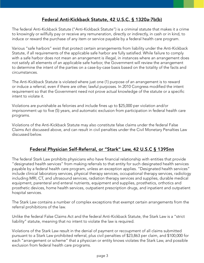#### Federal Anti-Kickback Statute, 42 U.S.C. § 1320a-7b(b)

<span id="page-4-0"></span>The federal Anti-Kickback Statute ("Anti-Kickback Statute") is a criminal statute that makes it a crime to knowingly or willfully pay or receive any remuneration, directly or indirectly, in cash or in kind, to induce or reward the purchase of any item or service payable by a federal health care program.

Various "safe harbors" exist that protect certain arrangements from liability under the Anti-Kickback Statute, if all requirements of the applicable safe harbor are fully satisfied. While failure to comply with a safe harbor does not mean an arrangement is illegal, in instances where an arrangement does not satisfy all elements of an applicable safe harbor, the Government will review the arrangement to determine the intent of the parties on a case-by-case basis based on the totality of the facts and circumstances.

The Anti-Kickback Statute is violated where just one (1) purpose of an arrangement is to reward or induce a referral, even if there are other, lawful purposes. In 2010 Congress modified the intent requirement so that the Government need not prove actual knowledge of the statute or a specific intent to violate it.

Violations are punishable as felonies and include fines up to \$25,000 per violation and/or imprisonment up to five (5) years, and automatic exclusion from participation in federal health care programs.

Violations of the Anti-Kickback Statute may also constitute false claims under the federal False Claims Act discussed above, and can result in civil penalties under the Civil Monetary Penalties Law discussed below.

#### Federal Physician Self-Referral, or "Stark" Law, 42 U.S.C § 1395nn

The federal Stark Law prohibits physicians who have financial relationship with entities that provide "designated health services" from making referrals to that entity for such designated health services payable by a federal health care program, unless an exception applies. "Designated health services" include clinical laboratory services, physical therapy services, occupational therapy services, radiology including MRI, CT, and ultrasound services, radiation therapy services and supplies, durable medical equipment, parenteral and enteral nutrients, equipment and supplies, prosthetics, orthotics and prosthetic devices, home health services, outpatient prescription drugs, and inpatient and outpatient hospital services.

The Stark Law contains a number of complex exceptions that exempt certain arrangements from the referral prohibitions of the law.

Unlike the federal False Claims Act and the federal Anti-Kickback Statute, the Stark Law is a "strict liability" statute, meaning that no intent to violate the law is required.

Violations of the Stark Law result in the denial of payment or recoupment of all claims submitted pursuant to a Stark Law prohibited referral, plus civil penalties of \$23,863 per claim, and \$100,000 for each "arrangement or scheme" that a physician or entity knows violates the Stark Law, and possible exclusion from federal health care programs.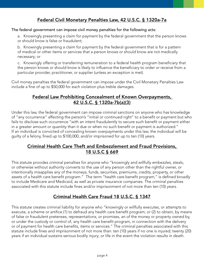#### Federal Civil Monetary Penalties Law, 42 U.S.C. § 1320a-7a

#### <span id="page-5-0"></span>The federal government can impose civil money penalties for the following acts:

a. Knowingly presenting a claim for payment by the federal government that the person knows or should know is false or fraudulent;

b. Knowingly presenting a claim for payment by the federal government that is for a pattern of medical or other items or services that a person knows or should know are not medically necessary; or

c. Knowingly offering or transferring remuneration to a federal health program beneficiary that the person knows or should know is likely to influence the beneficiary to order or receive from a particular provider, practitioner, or supplier (unless an exception is met).

Civil money penalties the federal government can impose under the Civil Monetary Penalties Law include a fine of up to \$50,000 for each violation plus treble damages.

#### Federal Law Prohibiting Concealment of Known Overpayments, 42 U.S.C. § 1320a-7b(a)(3)

Under this law, the federal government can impose criminal sanctions on anyone who has knowledge of "any occurrence" affecting the person's "initial or continued right" to a benefit or payment but who fails to disclose such occurrence "with an intent fraudulently to secure such benefit or payment either in a greater amount or quantity than it due or when no such benefit or payment is authorized." If an individual is convicted of concealing known overpayments under this law, the individual will be guilty of a felony, fined up to \$100,000, and/or imprisoned for up to ten (10) years.

#### Criminal Health Care Theft and Embezzlement and Fraud Provisions, 18 U.S.C § 669

This statute provides criminal penalties for anyone who "knowingly and willfully embezzles, steals, or otherwise without authority converts to the use of any person other than the rightful owner, or intentionally misapplies any of the moneys, funds, securities, premiums, credits, property, or other assets of a health care benefit program." The term "health care benefit program," is defined broadly to include Medicare and Medicaid, as well as private insurance companies. The criminal penalties associated with this statute include fines and/or imprisonment of not more than ten (10) years.

#### Criminal Health Care Fraud 18 U.S.C. § 1347

This statute creates criminal liability for anyone who "knowingly or willfully executes, or attempts to execute, a scheme or artifice (1) to defraud any health care benefit program; or (2) to obtain, by means of false or fraudulent pretenses, representations, or promises, an of the money or property owned by, or under the custody or control of, any health care benefit program, in connection with the delivery or of payment for health care benefits, items or services." The criminal penalties associated with this statute include fines and imprisonment of not more than: ten (10) years if no one is injured; twenty (20) years if an individual sustains serious bodily injury; or life in the event the violation results in death.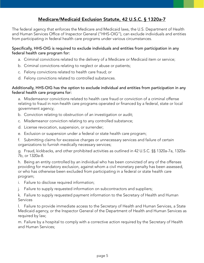#### Medicare/Medicaid Exclusion Statute, 42 U.S.C. § 1320a-7

<span id="page-6-0"></span>The federal agency that enforces the Medicare and Medicaid laws, the U.S. Department of Health and Human Services Office of Inspector General ("HHS-OIG"), can exclude individuals and entities from participating in federal health care programs under various circumstances.

#### Specifically, HHS-OIG is required to exclude individuals and entities from participation in any federal health care program for:

- a. Criminal convictions related to the delivery of a Medicare or Medicaid item or service;
- b. Criminal convictions relating to neglect or abuse or patients;
- c. Felony convictions related to health care fraud; or
- d. Felony convictions related to controlled substances.

#### Additionally, HHS-OIG has the option to exclude individual and entities from participation in any federal health care programs for:

a. Misdemeanor convictions related to health care fraud or conviction of a criminal offense relating to fraud in non-health care programs operated or financed by a federal, state or local government agency;

- b. Conviction relating to obstruction of an investigation or audit;
- c. Misdemeanor conviction relating to any controlled substance;
- d. License revocation, suspension, or surrender;
- e. Exclusion or suspension under a federal or state health care program;
- f. Submitting claims for excessive charges or unnecessary services and failure of certain organizations to furnish medically necessary services;
- g. Fraud, kickbacks, and other prohibited activities as outlined in 42 U.S.C. §§ 1320a-7a, 1320a-7b, or 1320a-8.

h. Being an entity controlled by an individual who has been convicted of any of the offenses providing for mandatory exclusion, against whom a civil monetary penalty has been assessed, or who has otherwise been excluded from participating in a federal or state health care program;

- i. Failure to disclose required information;
- j. Failure to supply requested information on subcontractors and suppliers;
- k. Failure to supply requested payment information to the Secretary of Health and Human Services

l. Failure to provide immediate access to the Secretary of Health and Human Services, a State Medicaid agency, or the Inspector General of the Department of Health and Human Services as required by law;

m. Failure by a hospital to comply with a corrective action required by the Secretary of Health and Human Services;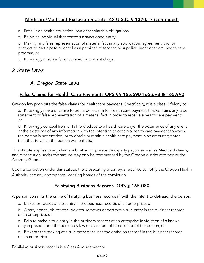#### <span id="page-7-0"></span>Medicare/Medicaid Exclusion Statute, 42 U.S.C. § 1320a-7 (continued)

- n. Default on health education loan or scholarship obligations;
- o. Being an individual that controls a sanctioned entity;

p. Making any false representation of material fact in any application, agreement, bid, or contract to participate or enroll as a provider of services or supplier under a federal health care program; or

q. Knowingly misclassifying covered outpatient drugs.

#### *2.State Laws*

#### *A. Oregon State Laws*

#### False Claims for Health Care Payments ORS §§ 165.690-165.698 & 165.990

#### Oregon law prohibits the false claims for healthcare payment. Specifically, it is a class C felony to:

a. Knowingly make or cause to be made a claim for health care payment that contains any false statement or false representation of a material fact in order to receive a health care payment; or

b. Knowingly conceal from or fail to disclose to a health care payor the occurrence of any event or the existence of any information with the intention to obtain a health care payment to which the person is not entitled, or to obtain or retain a health care payment in an amount greater than that to which the person was entitled.

This statute applies to any claims submitted to private third-party payors as well as Medicaid claims, and prosecution under the statute may only be commenced by the Oregon district attorney or the Attorney General.

Upon a conviction under this statute, the prosecuting attorney is required to notify the Oregon Health Authority and any appropriate licensing boards of the conviction.

#### Falsifying Business Records, ORS § 165.080

#### A person commits the crime of falsifying business records if, with the intent to defraud, the person:

a. Makes or causes a false entry in the business records of an enterprise; or

b. Alters, erases, obliterates, deletes, removes or destroys a true entry in the business records of an enterprise; or

c. Fails to make a true entry in the business records of an enterprise in violation of a known duty imposed upon the person by law or by nature of the position of the person; or

d. Prevents the making of a true entry or causes the omission thereof in the business records on an enterprise.

Falsifying business records is a Class A misdemeanor.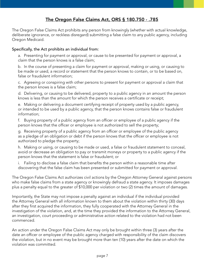#### The Oregon False Claims Act, ORS § 180.750 - .785

<span id="page-8-0"></span>The Oregon False Claims Act prohibits any person from knowingly (whether with actual knowledge, deliberate ignorance, or reckless disregard) submitting a false claim to any public agency, including Oregon Medicaid.

#### Specifically, the Act prohibits an individual from:

a. Presenting for payment or approval, or cause to be presented for payment or approval, a claim that the person knows is a false claim;

b. In the course of presenting a claim for payment or approval, making or using, or causing to be made or used, a record or statement that the person knows to contain, or to be based on, false or fraudulent information;

c. Agreeing or conspiring with other persons to present for payment or approval a claim that the person knows is a false claim;

d. Delivering, or causing to be delivered, property to a public agency in an amount the person knows is less than the amount for which the person receives a certificate or receipt;

e. Making or delivering a document certifying receipt of property used by a public agency, or intended to be used by a public agency, that the person knows contains false or fraudulent information;

f. Buying property of a public agency from an officer or employee of a public agency if the person knows that the officer or employee is not authorized to sell the property;

g. Receiving property of a public agency from an officer or employee of the public agency as a pledge of an obligation or debt if the person knows that the officer or employee is not authorized to pledge the property;

h. Making or using, or causing to be made or used, a false or fraudulent statement to conceal, avoid or decrease an obligation to pay or transmit moneys or property to a public agency if the person knows that the statement is false or fraudulent; or

i. Failing to disclose a false claim that benefits the person within a reasonable time after discovering that the false claim has been presented or submitted for payment or approval.

The Oregon False Claims Act authorizes civil actions by the Oregon Attorney General against persons who make false claims from a state agency or knowingly defraud a state agency. It imposes damages plus a penalty equal to the greater of \$10,000 per violation or two (2) times the amount of damages.

Importantly, the State may not impose a penalty against an individual if the individual provided the Attorney General with all information known to them about the violation within thirty (30) days after they first acquired the information, they fully cooperated with the Attorney General in the investigation of the violation, and, at the time they provided the information to the Attorney General, an investigation, court proceeding or administrative action related to the violation had not been commenced.

An action under the Oregon False Claims Act may only be brought within three (3) years after the date an officer or employee of the public agency charged with responsibility of the claim discovers the violation, but in no event may be brought more than ten (10) years after the date on which the violation was committed.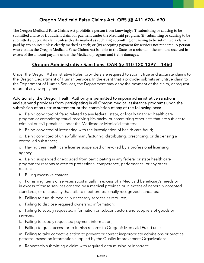#### Oregon Medicaid False Claims Act, ORS §§ 411.670– 690

<span id="page-9-0"></span>The Oregon Medicaid False Claims Act prohibits a person from knowingly: (i) submitting or causing to be submitted a false or fraudulent claim for payment under the Medicaid program; (ii) submitting or causing to be submitted a duplicate claim unless clearly marked as such; (iii) submitting or causing to be submitted a claim paid by any source unless clearly marked as such; or (iv) accepting payment for services not rendered. A person who violates the Oregon Medicaid False Claims Act is liable to the State for a refund of the amount received in excess of the amount payable under the Medicaid program and treble damages.

#### Oregon Administrative Sanctions, OAR §§ 410-120-1397 – 1460

Under the Oregon Administrative Rules, providers are required to submit true and accurate claims to the Oregon Department of Human Services. In the event that a provider submits an untrue claim to the Department of Human Services, the Department may deny the payment of the claim, or request return of any overpayment.

Additionally, the Oregon Health Authority is permitted to impose administrative sanctions and suspend providers from participating in all Oregon medical assistance programs upon the submission of an untrue statement or the commission of any of the following acts:

a. Being convicted of fraud related to any federal, state, or locally financed health care program or committing fraud, receiving kickbacks, or committing other acts that are subject to criminal or civil penalties under the Medicare or Medicaid statutes;

b. Being convicted of interfering with the investigation of health care fraud;

c. Being convicted of unlawfully manufacturing, distributing, prescribing, or dispensing a controlled substance;

d. Having their health care license suspended or revoked by a professional licensing agency;

e. Being suspended or excluded from participating in any federal or state health care program for reasons related to professional competence, performance, or any other reason;

f. Billing excessive charges;

g. Furnishing items or services substantially in excess of a Medicaid beneficiary's needs or in excess of those services ordered by a medical provider, or in excess of generally accepted standards, or of a quality that fails to meet professionally recognized standards;

h. Failing to furnish medically necessary services as required;

i. Failing to disclose required ownership information;

j. Failing to supply requested information on subcontractors and suppliers of goods or services;

k. Failing to supply requested payment information;

l. Failing to grant access or to furnish records to Oregon's Medicaid Fraud unit;

m. Failing to take corrective action to prevent or correct inappropriate admissions or practice patterns, based on information supplied by the Quality Improvement Organization;

n. Repeatedly submitting a claim with required data missing or incorrect;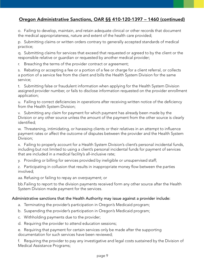#### Oregon Administrative Sanctions, OAR §§ 410-120-1397 – 1460 (continued)

o. Failing to develop, maintain, and retain adequate clinical or other records that document the medical appropriateness, nature and extent of the health care provided;

p. Submitting claims or written orders contrary to generally accepted standards of medical practice;

q. Submitting claims for services that exceed that requested or agreed to by the client or the responsible relative or guardian or requested by another medical provider;

r. Breaching the terms of the provider contract or agreement;

s. Rebating or accepting a fee or a portion of a fee or charge for a client referral, or collects a portion of a service fee from the client and bills the Health System Division for the same service;

t. Submitting false or fraudulent information when applying for the Health System Division assigned provider number, or fails to disclose information requested on the provider enrollment application;

u. Failing to correct deficiencies in operations after receiving written notice of the deficiency from the Health System Division;

v. Submitting any claim for payment for which payment has already been made by the Division or any other source unless the amount of the payment from the other source is clearly identified;

w. Threatening, intimidating, or harassing clients or their relatives in an attempt to influence payment rates or affect the outcome of disputes between the provider and the Health System Division;

x. Failing to properly account for a Health System Division's client's personal incidental funds, including but not limited to using a client's personal incidental funds for payment of services that are included in a medical facility's all-inclusive rate;

y. Providing or billing for services provided by ineligible or unsupervised staff;

z. Participating in collusion that results in inappropriate money flow between the parties involved;

aa. Refusing or failing to repay an overpayment; or

bb.Failing to report to the division payments received form any other source after the Health System Division made payment for the services.

#### Administrative sanctions that the Health Authority may issue against a provider include:

- a. Terminating the provider's participation in Oregon's Medicaid program;
- b. Suspending the provider's participation in Oregon's Medicaid program;
- c. Withholding payments due to the provider;
- d. Requiring the provider to attend education sessions;

e. Requiring that payment for certain services only be made after the supporting documentation for such services have been reviewed;

f. Requiring the provider to pay any investigative and legal costs sustained by the Division of Medical Assistance Programs;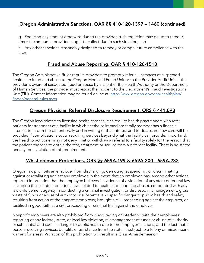#### <span id="page-11-0"></span>Oregon Administrative Sanctions, OAR §§ 410-120-1397 – 1460 (continued)

g. Reducing any amount otherwise due to the provider, such reduction may be up to three (3) times the amount a provider sought to collect due to such violation; and

h. Any other sanctions reasonably designed to remedy or compel future compliance with the laws.

#### Fraud and Abuse Reporting, OAR § 410-120-1510

The Oregon Administrative Rules require providers to promptly refer all instances of suspected healthcare fraud and abuse to the Oregon Medicaid Fraud Unit or to the Provider Audit Unit. If the provider is aware of suspected fraud or abuse by a client of the Health Authority or the Department of Human Services, the provider must report the incident to the Department's Fraud Investigations Unit (FIU). Contact information may be found online at: [http://www.oregon.gov/oha/healthplan/](http://www.oregon.gov/oha/healthplan/Pages/general-rules.aspx ) [Pages/general-rules.aspx](http://www.oregon.gov/oha/healthplan/Pages/general-rules.aspx )

#### Oregon Physician Referral Disclosure Requirement, ORS § 441.098

The Oregon laws related to licensing health care facilities require health practitioners who refer patients for treatment at a facility in which he/she or immediate family member has a financial interest, to inform the patient orally and in writing of that interest and to disclosure how care will be provided if complications occur requiring services beyond what the facility can provide. Importantly, the health practitioner may not deny, limit or withdraw a referral to a facility solely for the reason that the patient chooses to obtain the test, treatment or service from a different facility. There is no stated penalty for a violation of this requirement.

#### Whistleblower Protections, ORS §§ 659A.199 & 659A.200 - 659A.233

Oregon law prohibits an employer from discharging, demoting, suspending, or discriminating against or retaliating against any employee in the event that an employee has, among other actions, reported information that the employee believes is evidence of a violation of any state or federal law (including those state and federal laws related to healthcare fraud and abuse), cooperated with any law enforcement agency in conducting a criminal investigation, or disclosed mismanagement, gross waste of funds or abuse of authority or substantial and specific danger to public health and safety resulting from action of the nonprofit employer, brought a civil proceeding against the employer, or testified in good faith at a civil proceeding or criminal trial against the employer.

Nonprofit employers are also prohibited from discouraging or interfering with their employees' reporting of any federal, state, or local law violation, mismanagement of funds or abuse of authority or substantial and specific danger to public health due to the employer's actions, and the fact that a person receiving services, benefits or assistance from the state, is subject to a felony or misdemeanor warrant for arrest. Violation of this prohibition will result in a Class A misdemeanor.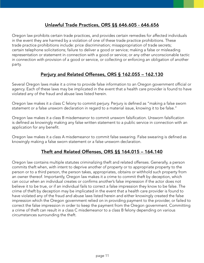#### Unlawful Trade Practices, ORS §§ 646.605 - 646.656

<span id="page-12-0"></span>Oregon law prohibits certain trade practices, and provides certain remedies for affected individuals in the event they are harmed by a violation of one of these trade practice prohibitions. These trade practice prohibitions include: price discrimination; misappropriation of trade secrets; certain telephone solicitations; failure to deliver a good or service; making a false or misleading representation or statement in connection with a good or service; or any other unconscionable tactic in connection with provision of a good or service, or collecting or enforcing an obligation of another party.

#### Perjury and Related Offenses, ORS § 162.055 – 162.130

Several Oregon laws make it a crime to provide false information to an Oregon government official or agency. Each of these laws may be implicated in the event that a health care provider is found to have violated any of the fraud and abuse laws listed herein.

Oregon law makes it a class C felony to commit perjury. Perjury is defined as "making a false sworn statement or a false unsworn declaration in regard to a material issue, knowing it to be false."

Oregon law makes it a class B misdemeanor to commit unsworn falsification. Unsworn falsification is defined as knowingly making any false written statement to a public service in connection with an application for any benefit.

Oregon law makes it a class A misdemeanor to commit false swearing. False swearing is defined as knowingly making a false sworn statement or a false unsworn declaration.

#### Theft and Related Offenses, ORS §§ 164.015 – 164.140

Oregon law contains multiple statutes criminalizing theft and related offenses. Generally, a person commits theft when, with intent to deprive another of property or to appropriate property to the person or to a third person, the person takes, appropriates, obtains or withhold such property from an owner thereof. Importantly, Oregon law makes it a crime to commit theft by deception, which can occur when an individual creates or confirms another's false impression if the actor does not believe it to be true, or if an individual fails to correct a false impression they know to be false. The crime of theft by deception may be implicated in the event that a health care provider is found to have violated any of the fraud and abuse laws listed herein and either knowingly created the false impression which the Oregon government relied on in providing payment to the provider, or failed to correct the false impression in order to keep the payment from the Oregon government. Committing a crime of theft can result in a class C misdemeanor to a class B felony depending on various circumstances surrounding the theft.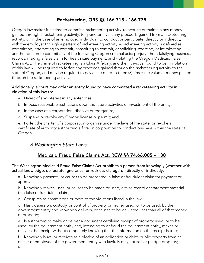#### Racketeering, ORS §§ 166.715 - 166.735

<span id="page-13-0"></span>Oregon law makes it a crime to commit a racketeering activity, to acquire or maintain any money gained through a racketeering activity, to spend or invest any proceeds gained from a racketeering activity, or, in the case of an employed individual, to conduct or participate, directly or indirectly, with the employer through a pattern of racketeering activity. A racketeering activity is defined as committing, attempting to commit, conspiring to commit, or soliciting, coercing, or intimidating another person to commit any of the following Oregon criminal acts: perjury; theft; falsifying business records; making a false claim for health care payment; and violating the Oregon Medicaid False Claims Act. The crime of racketeering is a Class A felony, and the individual found to be in violation of this law will be required to forfeit any proceeds gained through the racketeering activity to the state of Oregon, and may be required to pay a fine of up to three (3) times the value of money gained through the racketeering activity.

#### Additionally, a court may order an entity found to have committed a racketeering activity in violation of this law to:

- a. Divest of any interest in any enterprise;
- b. Impose reasonable restrictions upon the future activities or investment of the entity;
- c. In the case of a corporation, dissolve or reorganize;
- d. Suspend or revoke any Oregon license or permit; and

e. Forfeit the charter of a corporation organize under the laws of the state, or revoke a certificate of authority authorizing a foreign corporation to conduct business within the state of Oregon.

#### *B.Washington State Laws*

#### Medicaid Fraud False Claims Act, RCW §§ 74.66.005 – 130

The Washington Medicaid Fraud False Claims Act prohibits a person from knowingly (whether with actual knowledge, deliberate ignorance, or reckless disregard), directly or indirectly:

a. Knowingly presents, or causes to be presented, a false or fraudulent claim for payment or approval;

b. Knowingly makes, uses, or causes to be made or used, a false record or statement material to a false or fraudulent claim;

c. Conspires to commit one or more of the violations listed in the law;

d. Has possession, custody, or control of property or money used, or to be used, by the government entity and knowingly delivers, or causes to be delivered, less than all of that money or property;

e. Is authorized to make or deliver a document certifying receipt of property used, or to be used, by the government entity and, intending to defraud the government entity, makes or delivers the receipt without completely knowing that the information on the receipt is true;

f. Knowingly buys, or receives as a pledge of an obligation or debt, public property from an officer or employee of the government entity who lawfully may not sell or pledge property; or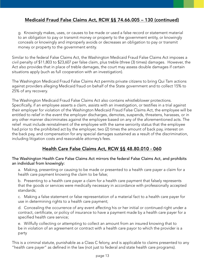#### <span id="page-14-0"></span>Medicaid Fraud False Claims Act, RCW §§ 74.66.005 – 130 (continued)

g. Knowingly makes, uses, or causes to be made or used a false record or statement material to an obligation to pay or transmit money or property to the government entity, or knowingly conceals or knowingly and improperly avoids or decreases an obligation to pay or transmit money or property to the government entity.

Similar to the federal False Claims Act, the Washington Medicaid Fraud False Claims Act imposes a civil penalty of \$11,803 to \$23,607 per false claim, plus treble (three (3) times) damages. However, the Act also provides that in place of treble damages, the court may assess double damages if certain situations apply (such as full cooperation with an investigation).

The Washington Medicaid Fraud False Claims Act permits private citizens to bring Qui Tam actions against providers alleging Medicaid fraud on behalf of the State government and to collect 15% to 25% of any recovery.

The Washington Medicaid Fraud False Claims Act also contains whistleblower protections. Specifically, if an employee asserts a claim, assists with an investigation, or testifies in a trial against their employer for violation of the Washington Medicaid Fraud False Claims Act, the employee will be entitled to relief in the event the employer discharges, demotes, suspends, threatens, harasses, or in any other manner discriminates against the employee based on any of the aforementioned acts. The relief must include reinstalment of the employee with the same seniority status that the employee had prior to the prohibited act by the employer, two (2) times the amount of back pay, interest on the back pay, and compensation for any special damages sustained as a result of the discrimination, including litigation costs and reasonable attorney's fees.

#### Health Care False Claims Act, RCW §§ 48.80.010 - 060

#### The Washington Health Care False Claims Act mirrors the federal False Claims Act, and prohibits an individual from knowingly:

a. Making, presenting or causing to be made or presented to a health care payer a claim for a health care payment knowing the claim to be false;

b. Presenting to a health care payer a claim for a health care payment that falsely represents that the goods or services were medically necessary in accordance with professionally accepted standards;

c. Making a false statement or false representation of a material fact to a health care payer for use in determining rights to a health care payment;

d. Concealing the occurrence of any event affecting his or her initial or continued right under a contract, certificate, or policy of insurance to have a payment made by a health care payer for a specified health care service;

e. Willfully collecting or attempting to collect an amount from an insured knowing that to be in violation of an agreement or contract with a health care payor to which the provider is a party

This is a criminal statute, punishable as a Class C felony, and is applicable to claims presented to any "health care payer" as defined in the law (not just to federal and state health care programs).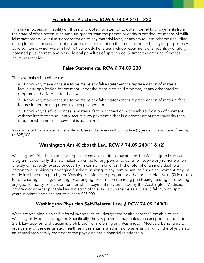#### Fraudulent Practices, RCW § 74.09.210 – 220

<span id="page-15-0"></span>This law imposes civil liability on those who obtain or attempt to obtain benefits or payments from the state of Washington in an amount greater than the person or entity is entitled, by means of willful false statements, willful misrepresentation of any material facts, or any fraudulent scheme (including billing for items or services not provided, misrepresenting the items billed, or billing for purportedly covered items, which were in fact not covered). Penalties include repayment of amounts wrongfully obtained plus interest, and possible civil penalties of up to three (3) times the amount of excess payments received.

#### False Statements, RCW § 74.09.230

#### This law makes it a crime to:

a. Knowingly make or cause to be made any false statement or representation of material fact in any application for payment under the state Medicaid program, or any other medical program authorized under the law;

b. Knowingly make or cause to be made any false statement or representation of material fact for use in determining rights to such payment; or

c. Knowingly falsify or conceal a material fact in connection with such application of payment, with the intent to fraudulently secure such payment either in a greater amount or quantity than is due or when no such payment is authorized.

Violations of this law are punishable as Class C felonies with up to five (5) years in prison and fines up to \$25,000.

#### Washington Anti-Kickback Law, RCW § 74.09.240(1) & (2)

Washington's Anti-Kickback Law applies to services or items payable by the Washington Medicaid program. Specifically, the law makes it a crime for any person to solicit or receive any remuneration directly or indirectly, overtly or covertly, in cash or in kind for (1) the referral of an individual to a person for furnishing or arranging for the furnishing of any item or service for which payment may be made in whole or in part by the Washington Medicaid program or other applicable law, or (2) in return for purchasing, leasing, ordering, or arranging for or recommending purchasing, leasing, or ordering any goods, facility, service, or item for which payment may be made by the Washington Medicaid program or other applicable law. Violation of this law is punishable as a Class C felony with up to 5 years in prison and fines not to exceed \$25,000.

#### Washington Physician Self-Referral Law, § RCW 74.09.240(3)

Washington's physician self-referral law applies to "designated health services" payable by the Washington Medicaid program. Specifically, the law provides that, unless an exception to the federal Stark Law applies, a physician is prohibited from referring any Washington Medicaid beneficiary to receive any of the designated health services enumerated in law to an entity in which the physician or an immediately family member of the physician has a financial relationship.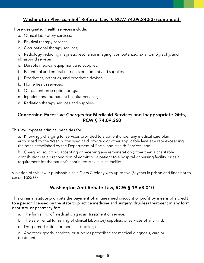#### <span id="page-16-0"></span>Washington Physician Self-Referral Law, § RCW 74.09.240(3) (continued)

#### Those designated health services include:

- a. Clinical laboratory services;
- b. Physical therapy services;
- c. Occupational therapy services;

d. Radiology including magnetic resonance imaging, computerized axial tomography, and ultrasound services;

- e. Durable medical equipment and supplies;
- i. Parenteral and enteral nutrients equipment and supplies;
- j. Prosthetics, orthotics, and prosthetic devises;
- k. Home health services;
- l. Outpatient prescription drugs;
- m. Inpatient and outpatient hospital services;
- n. Radiation therapy services and supplies

#### Concerning Excessive Charges for Medicaid Services and Inappropriate Gifts, RCW § 74.09.260

#### This law imposes criminal penalties for:

a. Knowingly charging for services provided to a patient under any medical care plan authorized by the Washington Medicaid program or other applicable laws at a rate exceeding the rates established by the Department of Social and Health Services; and

b. Charging, soliciting, accepting or receiving any remuneration (other than a charitable contribution) as a precondition of admitting a patient to a hospital or nursing facility, or as a requirement for the patient's continued stay in such facility.

Violation of this law is punishable as a Class C felony with up to five (5) years in prison and fines not to exceed \$25,000.

#### Washington Anti-Rebate Law, RCW § 19.68.010

This criminal statute prohibits the payment of an unearned discount or profit by means of a credit to a person licensed by the state to practice medicine and surgery, drugless treatment in any form, dentistry, or pharmacy for:

- a. The furnishing of medical diagnosis, treatment or service;
- b. The sale, rental furnishing of clinical laboratory supplies, or services of any kind;
- c. Drugs, medication, or medical supplies; or

d. Any other goods, services, or supplies prescribed for medical diagnosis, care or treatment.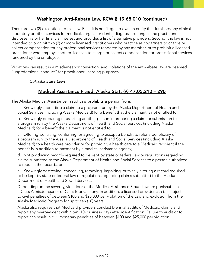#### Washington Anti-Rebate Law, RCW § 19.68.010 (continued)

<span id="page-17-0"></span>There are two (2) exceptions to this law. First, it is not illegal to own an entity that furnishes any clinical laboratory or other services for medical, surgical or dental diagnosis so long as the practitioner discloses his or her financial interest and provides a list of alternative providers. Second, the law is not intended to prohibit two (2) or more licensed practitioners who practice as copartners to charge or collect compensation for any professional services rendered by any member, or to prohibit a licensed practitioner who employs another licensee to charge or collect compensation for professional services rendered by the employee.

Violations can result in a misdemeanor conviction, and violations of the anti-rebate law are deemed "unprofessional conduct" for practitioner licensing purposes.

#### *C.Alaska State Laws*

#### Medical Assistance Fraud, Alaska Stat. §§ 47.05.210 – 290

#### The Alaska Medical Assistance Fraud Law prohibits a person from:

a. Knowingly submitting a claim to a program run by the Alaska Department of Health and Social Services (including Alaska Medicaid) for a benefit that the claimant is not entitled to;

b. Knowingly preparing or assisting another person in preparing a claim for submission to a program run by the Alaska Department of Health and Social Services (including Alaska Medicaid) for a benefit the claimant is not entitled to;

c. Offering, soliciting, conferring, or agreeing to accept a benefit to refer a beneficiary of a program run by the Alaska Department of Health and Social Services (including Alaska Medicaid) to a health care provider or for providing a health care to a Medicaid recipient if the benefit is in addition to payment by a medical assistance agency;

d. Not producing records required to be kept by state or federal law or regulations regarding claims submitted to the Alaska Department of Health and Social Services to a person authorized to request the records; or

e. Knowingly destroying, concealing, removing, impairing, or falsely altering a record required to be kept by state or federal law or regulations regarding claims submitted to the Alaska Department of Health and Social Services.

Depending on the severity, violations of the Medical Assistance Fraud Law are punishable as a Class A misdemeanor or Class B or C felony. In addition, a licensed provider can be subject to civil penalties of between \$100 and \$25,000 per violation of the Law and exclusion from the Alaska Medicaid Program for up to ten (10) years.

Alaska also requires that Medicaid providers conduct biennial audits of Medicaid claims and report any overpayment within ten (10) business days after identification. Failure to audit or to report can result in civil monetary penalties of between \$100 and \$25,000 per violation.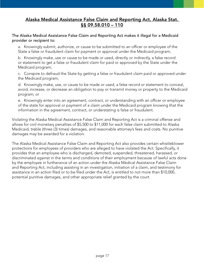#### <span id="page-18-0"></span>Alaska Medical Assistance False Claim and Reporting Act, Alaska Stat. §§ 09.58.010 – 110

The Alaska Medical Assistance False Claim and Reporting Act makes it illegal for a Medicaid provider or recipient to:

a. Knowingly submit, authorize, or cause to be submitted to an officer or employee of the State a false or fraudulent claim for payment or approval under the Medicaid program;

b. Knowingly make, use or cause to be made or used, directly or indirectly, a false record or statement to get a false or fraudulent claim for paid or approved by the State under the Medicaid program;

c. Conspire to defraud the State by getting a false or fraudulent claim paid or approved under the Medicaid program;

d. Knowingly make, use, or cause to be made or used, a false record or statement to conceal, avoid, increase, or decrease an obligation to pay or transmit money or property to the Medicaid program; or

e. Knowingly enter into an agreement, contract, or understanding with an officer or employee of the state for approval or payment of a claim under the Medicaid program knowing that the information in the agreement, contract, or understating is false or fraudulent.

Violating the Alaska Medical Assistance False Claim and Reporting Act is a criminal offense and allows for civil monetary penalties of \$5,500 to \$11,000 for each false claim submitted to Alaska Medicaid, treble (three (3) times) damages, and reasonable attorney's fees and costs. No punitive damages may be awarded for a violation.

The Alaska Medical Assistance False Claim and Reporting Act also provides certain whistleblower protections for employees of providers who are alleged to have violated the Act. Specifically, it provides that an employee who is discharged, demoted, suspended, threatened, harassed, or discriminated against in the terms and conditions of their employment because of lawful acts done by the employee in furtherance of an action under the Alaska Medical Assistance False Claim and Reporting Act, including assisting in an investigation, initiation of a claim, and testimony for assistance in an action filed or to be filed under the Act, is entitled to not more than \$10,000, potential punitive damages, and other appropriate relief granted by the court.